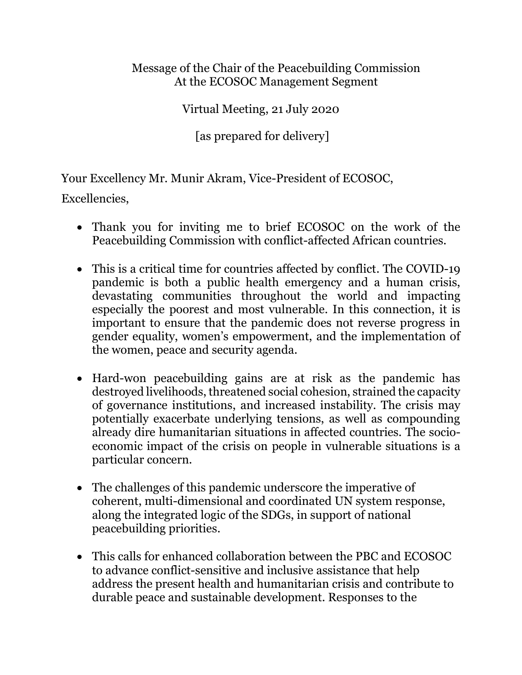## Message of the Chair of the Peacebuilding Commission At the ECOSOC Management Segment

Virtual Meeting, 21 July 2020

[as prepared for delivery]

Your Excellency Mr. Munir Akram, Vice-President of ECOSOC,

Excellencies,

- Thank you for inviting me to brief ECOSOC on the work of the Peacebuilding Commission with conflict-affected African countries.
- This is a critical time for countries affected by conflict. The COVID-19 pandemic is both a public health emergency and a human crisis, devastating communities throughout the world and impacting especially the poorest and most vulnerable. In this connection, it is important to ensure that the pandemic does not reverse progress in gender equality, women's empowerment, and the implementation of the women, peace and security agenda.
- Hard-won peacebuilding gains are at risk as the pandemic has destroyed livelihoods, threatened social cohesion, strained the capacity of governance institutions, and increased instability. The crisis may potentially exacerbate underlying tensions, as well as compounding already dire humanitarian situations in affected countries. The socioeconomic impact of the crisis on people in vulnerable situations is a particular concern.
- The challenges of this pandemic underscore the imperative of coherent, multi-dimensional and coordinated UN system response, along the integrated logic of the SDGs, in support of national peacebuilding priorities.
- This calls for enhanced collaboration between the PBC and ECOSOC to advance conflict-sensitive and inclusive assistance that help address the present health and humanitarian crisis and contribute to durable peace and sustainable development. Responses to the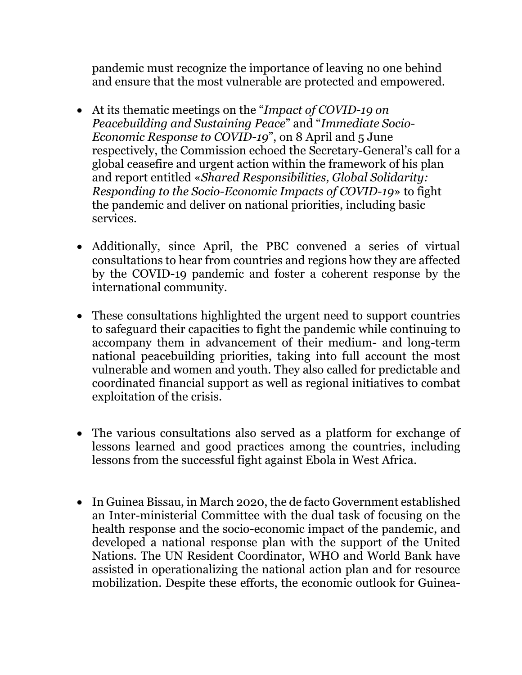pandemic must recognize the importance of leaving no one behind and ensure that the most vulnerable are protected and empowered.

- At its thematic meetings on the "*Impact of COVID-19 on Peacebuilding and Sustaining Peace*" and "*Immediate Socio-Economic Response to COVID-19*", on 8 April and 5 June respectively, the Commission echoed the Secretary-General's call for a global ceasefire and urgent action within the framework of his plan and report entitled «*Shared Responsibilities, Global Solidarity: Responding to the Socio-Economic Impacts of COVID-19*» to fight the pandemic and deliver on national priorities, including basic services.
- Additionally, since April, the PBC convened a series of virtual consultations to hear from countries and regions how they are affected by the COVID-19 pandemic and foster a coherent response by the international community.
- These consultations highlighted the urgent need to support countries to safeguard their capacities to fight the pandemic while continuing to accompany them in advancement of their medium- and long-term national peacebuilding priorities, taking into full account the most vulnerable and women and youth. They also called for predictable and coordinated financial support as well as regional initiatives to combat exploitation of the crisis.
- The various consultations also served as a platform for exchange of lessons learned and good practices among the countries, including lessons from the successful fight against Ebola in West Africa.
- In Guinea Bissau, in March 2020, the de facto Government established an Inter-ministerial Committee with the dual task of focusing on the health response and the socio-economic impact of the pandemic, and developed a national response plan with the support of the United Nations. The UN Resident Coordinator, WHO and World Bank have assisted in operationalizing the national action plan and for resource mobilization. Despite these efforts, the economic outlook for Guinea-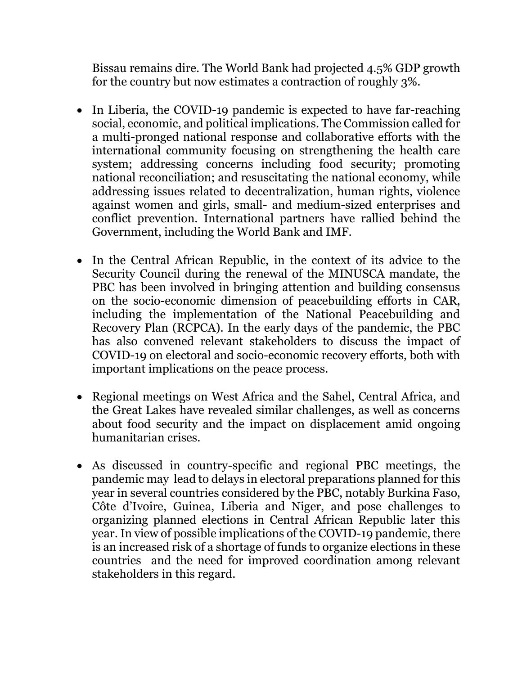Bissau remains dire. The World Bank had projected 4.5% GDP growth for the country but now estimates a contraction of roughly 3%.

- In Liberia, the COVID-19 pandemic is expected to have far-reaching social, economic, and political implications. The Commission called for a multi-pronged national response and collaborative efforts with the international community focusing on strengthening the health care system; addressing concerns including food security; promoting national reconciliation; and resuscitating the national economy, while addressing issues related to decentralization, human rights, violence against women and girls, small- and medium-sized enterprises and conflict prevention. International partners have rallied behind the Government, including the World Bank and IMF.
- In the Central African Republic, in the context of its advice to the Security Council during the renewal of the MINUSCA mandate, the PBC has been involved in bringing attention and building consensus on the socio-economic dimension of peacebuilding efforts in CAR, including the implementation of the National Peacebuilding and Recovery Plan (RCPCA). In the early days of the pandemic, the PBC has also convened relevant stakeholders to discuss the impact of COVID-19 on electoral and socio-economic recovery efforts, both with important implications on the peace process.
- Regional meetings on West Africa and the Sahel, Central Africa, and the Great Lakes have revealed similar challenges, as well as concerns about food security and the impact on displacement amid ongoing humanitarian crises.
- As discussed in country-specific and regional PBC meetings, the pandemic may lead to delays in electoral preparations planned for this year in several countries considered by the PBC, notably Burkina Faso, Côte d'Ivoire, Guinea, Liberia and Niger, and pose challenges to organizing planned elections in Central African Republic later this year. In view of possible implications of the COVID-19 pandemic, there is an increased risk of a shortage of funds to organize elections in these countries and the need for improved coordination among relevant stakeholders in this regard.